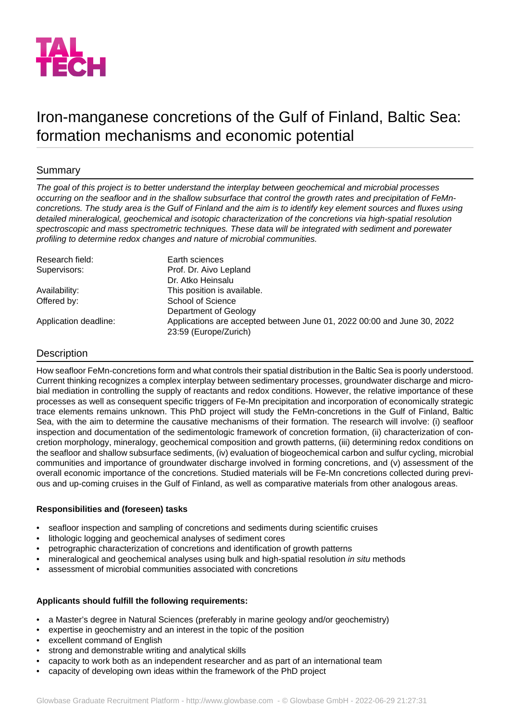

# Iron-manganese concretions of the Gulf of Finland, Baltic Sea: formation mechanisms and economic potential

## Summary

*The goal of this project is to better understand the interplay between geochemical and microbial processes occurring on the seafloor and in the shallow subsurface that control the growth rates and precipitation of FeMnconcretions. The study area is the Gulf of Finland and the aim is to identify key element sources and fluxes using detailed mineralogical, geochemical and isotopic characterization of the concretions via high-spatial resolution spectroscopic and mass spectrometric techniques. These data will be integrated with sediment and porewater profiling to determine redox changes and nature of microbial communities.*

| Research field:       | Earth sciences                                                                                   |
|-----------------------|--------------------------------------------------------------------------------------------------|
| Supervisors:          | Prof. Dr. Aivo Lepland                                                                           |
|                       | Dr. Atko Heinsalu                                                                                |
| Availability:         | This position is available.                                                                      |
| Offered by:           | School of Science                                                                                |
|                       | Department of Geology                                                                            |
| Application deadline: | Applications are accepted between June 01, 2022 00:00 and June 30, 2022<br>23:59 (Europe/Zurich) |

### Description

How seafloor FeMn-concretions form and what controls their spatial distribution in the Baltic Sea is poorly understood. Current thinking recognizes a complex interplay between sedimentary processes, groundwater discharge and microbial mediation in controlling the supply of reactants and redox conditions. However, the relative importance of these processes as well as consequent specific triggers of Fe-Mn precipitation and incorporation of economically strategic trace elements remains unknown. This PhD project will study the FeMn-concretions in the Gulf of Finland, Baltic Sea, with the aim to determine the causative mechanisms of their formation. The research will involve: (i) seafloor inspection and documentation of the sedimentologic framework of concretion formation, (ii) characterization of concretion morphology, mineralogy, geochemical composition and growth patterns, (iii) determining redox conditions on the seafloor and shallow subsurface sediments, (iv) evaluation of biogeochemical carbon and sulfur cycling, microbial communities and importance of groundwater discharge involved in forming concretions, and (v) assessment of the overall economic importance of the concretions. Studied materials will be Fe-Mn concretions collected during previous and up-coming cruises in the Gulf of Finland, as well as comparative materials from other analogous areas.

#### **Responsibilities and (foreseen) tasks**

- seafloor inspection and sampling of concretions and sediments during scientific cruises
- lithologic logging and geochemical analyses of sediment cores
- petrographic characterization of concretions and identification of growth patterns
- mineralogical and geochemical analyses using bulk and high-spatial resolution *in situ* methods
- assessment of microbial communities associated with concretions

#### **Applicants should fulfill the following requirements:**

- a Master's degree in Natural Sciences (preferably in marine geology and/or geochemistry)
- expertise in geochemistry and an interest in the topic of the position
- excellent command of English
- strong and demonstrable writing and analytical skills
- capacity to work both as an independent researcher and as part of an international team
- capacity of developing own ideas within the framework of the PhD project